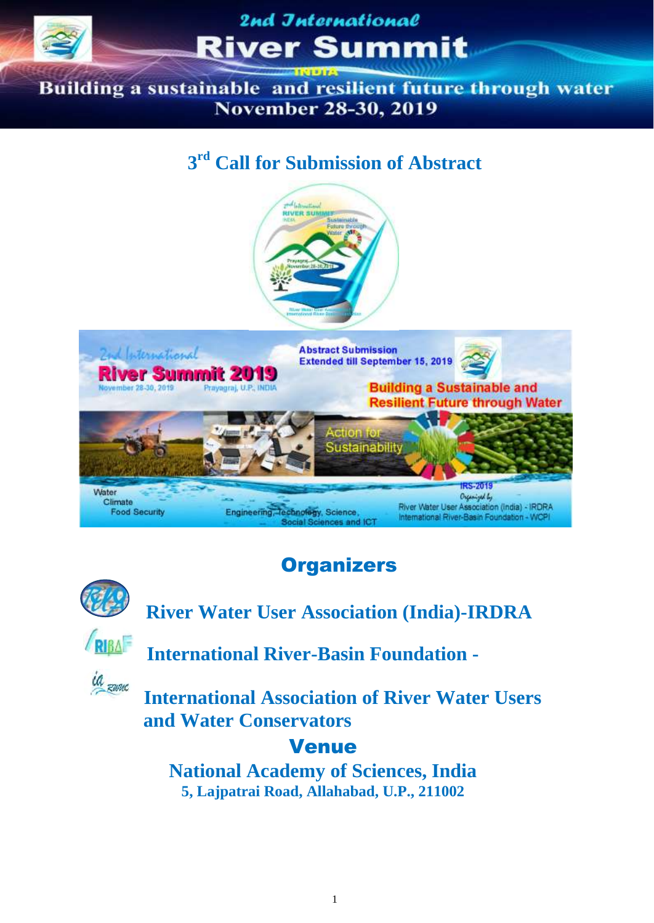

Building a sustainable and resilient future through water **November 28-30, 2019** 

## **3 rd Call for Submission of Abstract**



## Organizers



 **River Water User Association (India)-IRDRA**



**International River-Basin Foundation -**

**International Association of River Water Users and Water Conservators**

### Venue

**National Academy of Sciences, India 5, Lajpatrai Road, Allahabad, U.P., 211002**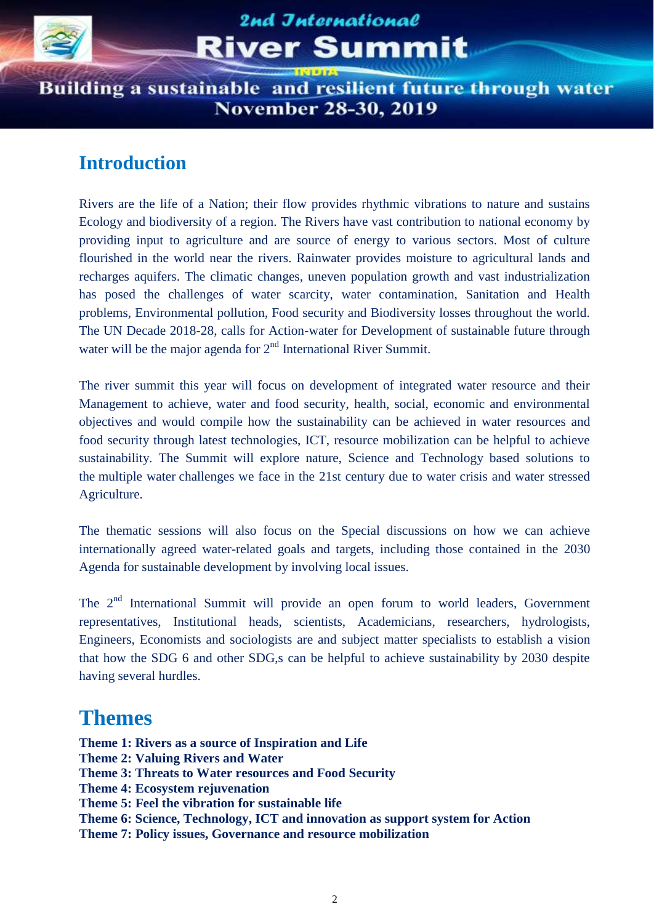

Building a sustainable and resilient future through water **November 28-30, 2019** 

### **Introduction**

Rivers are the life of a Nation; their flow provides rhythmic vibrations to nature and sustains Ecology and biodiversity of a region. The Rivers have vast contribution to national economy by providing input to agriculture and are source of energy to various sectors. Most of culture flourished in the world near the rivers. Rainwater provides moisture to agricultural lands and recharges aquifers. The climatic changes, uneven population growth and vast industrialization has posed the challenges of water scarcity, water contamination, Sanitation and Health problems, Environmental pollution, Food security and Biodiversity losses throughout the world. The UN Decade 2018-28, calls for Action-water for Development of sustainable future through water will be the major agenda for  $2<sup>nd</sup>$  International River Summit.

The river summit this year will focus on development of integrated water resource and their Management to achieve, water and food security, health, social, economic and environmental objectives and would compile how the sustainability can be achieved in water resources and food security through latest technologies, ICT, resource mobilization can be helpful to achieve sustainability. The Summit will explore nature, Science and Technology based solutions to the multiple water challenges we face in the 21st century due to water crisis and water stressed Agriculture.

The thematic sessions will also focus on the Special discussions on how we can achieve internationally agreed water-related goals and targets, including those contained in the 2030 Agenda for sustainable development by involving local issues.

The 2<sup>nd</sup> International Summit will provide an open forum to world leaders, Government representatives, Institutional heads, scientists, Academicians, researchers, hydrologists, Engineers, Economists and sociologists are and subject matter specialists to establish a vision that how the SDG 6 and other SDG,s can be helpful to achieve sustainability by 2030 despite having several hurdles.

### **Themes**

**Theme 1: Rivers as a source of Inspiration and Life Theme 2: Valuing Rivers and Water Theme 3: Threats to Water resources and Food Security Theme 4: Ecosystem rejuvenation Theme 5: Feel the vibration for sustainable life Theme 6: Science, Technology, ICT and innovation as support system for Action Theme 7: Policy issues, Governance and resource mobilization**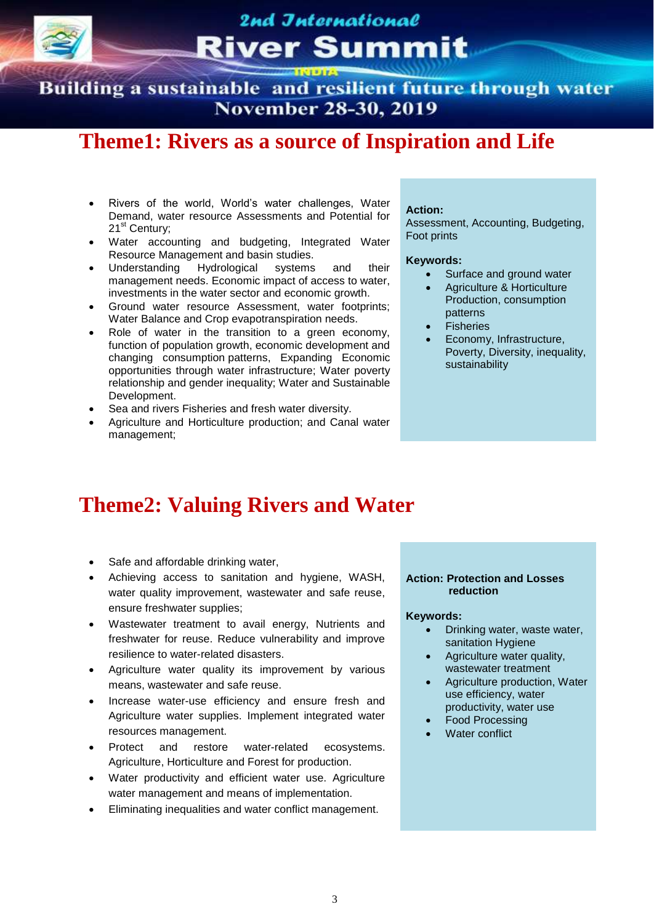Building a sustainable and resilient future through water **November 28-30, 2019** 

### **Theme1: Rivers as a source of Inspiration and Life**

- Rivers of the world, World's water challenges, Water Demand, water resource Assessments and Potential for 21<sup>st</sup> Century;
- Water accounting and budgeting, Integrated Water Resource Management and basin studies.
- Understanding Hydrological systems and their management needs. Economic impact of access to water, investments in the water sector and economic growth.
- Ground water resource Assessment, water footprints; Water Balance and Crop evapotranspiration needs.
- Role of water in the transition to a green economy, function of population growth, economic development and changing consumption patterns, Expanding Economic opportunities through water infrastructure; Water poverty relationship and gender inequality; Water and Sustainable Development.
- Sea and rivers Fisheries and fresh water diversity.
- Agriculture and Horticulture production; and Canal water management;

#### **Action:**

Assessment, Accounting, Budgeting, Foot prints

#### **Keywords:**

- Surface and ground water
- Agriculture & Horticulture Production, consumption patterns
- Fisheries
- Economy, Infrastructure, Poverty, Diversity, inequality, sustainability

### **Theme2: Valuing Rivers and Water**

- Safe and affordable drinking water,
- Achieving access to sanitation and hygiene, WASH, water quality improvement, wastewater and safe reuse, ensure freshwater supplies;
- Wastewater treatment to avail energy, Nutrients and freshwater for reuse. Reduce vulnerability and improve resilience to water-related disasters.
- Agriculture water quality its improvement by various means, wastewater and safe reuse.
- Increase water-use efficiency and ensure fresh and Agriculture water supplies. Implement integrated water resources management.
- Protect and restore water-related ecosystems. Agriculture, Horticulture and Forest for production.
- Water productivity and efficient water use. Agriculture water management and means of implementation.
- Eliminating inequalities and water conflict management.

#### **Action: Protection and Losses reduction**

- Drinking water, waste water, sanitation Hygiene
- Agriculture water quality, wastewater treatment
- Agriculture production, Water use efficiency, water productivity, water use
- Food Processing
- Water conflict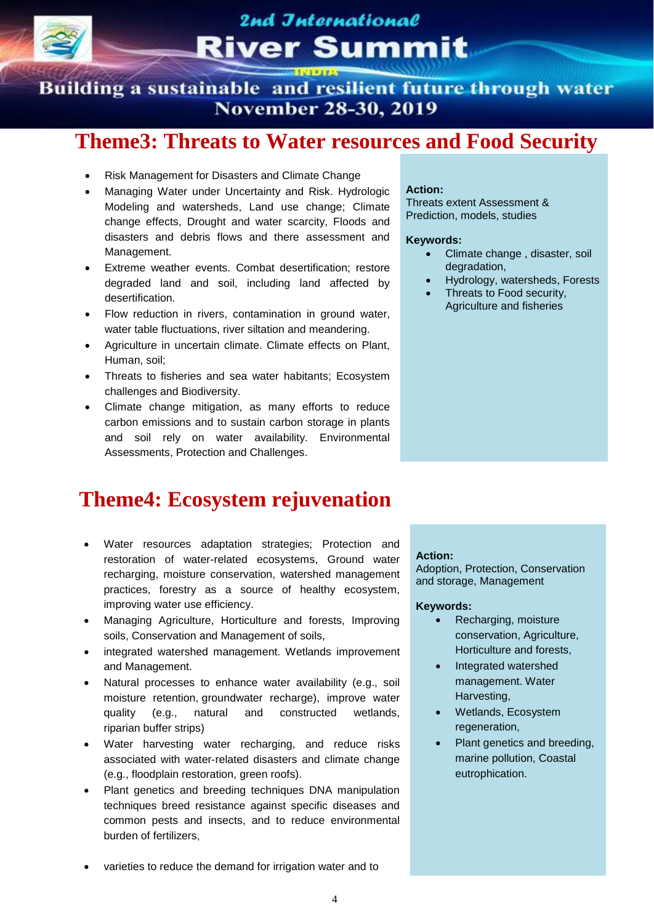

Building a sustainable and resilient future through water **November 28-30, 2019** 

### **Theme3: Threats to Water resources and Food Security**

- Risk Management for Disasters and Climate Change
- Managing Water under Uncertainty and Risk. Hydrologic Modeling and watersheds, Land use change; Climate change effects, Drought and water scarcity, Floods and disasters and debris flows and there assessment and Management.
- Extreme weather events. Combat desertification; restore degraded land and soil, including land affected by desertification.
- Flow reduction in rivers, contamination in ground water, water table fluctuations, river siltation and meandering.
- Agriculture in uncertain climate. Climate effects on Plant, Human, soil;
- Threats to fisheries and sea water habitants; Ecosystem challenges and Biodiversity.
- Climate change mitigation, as many efforts to reduce carbon emissions and to sustain carbon storage in plants and soil rely on water availability. Environmental Assessments, Protection and Challenges.

## **Theme4: Ecosystem rejuvenation**

- Water resources adaptation strategies; Protection and restoration of water-related ecosystems, Ground water recharging, moisture conservation, watershed management practices, forestry as a source of healthy ecosystem, improving water use efficiency.
- Managing Agriculture, Horticulture and forests, Improving soils, Conservation and Management of soils,
- integrated watershed management. Wetlands improvement and Management.
- Natural processes to enhance water availability (e.g., soil moisture retention, groundwater recharge), improve water quality (e.g., natural and constructed wetlands, riparian buffer strips)
- Water harvesting water recharging, and reduce risks associated with water‐related disasters and climate change (e.g., floodplain restoration, green roofs).
- Plant genetics and breeding techniques DNA manipulation techniques breed resistance against specific diseases and common pests and insects, and to reduce environmental burden of fertilizers,

#### **Action:**

Threats extent Assessment & Prediction, models, studies

#### **Keywords:**

- Climate change , disaster, soil degradation,
- Hydrology, watersheds, Forests
- Threats to Food security, Agriculture and fisheries

#### **Action:**

Adoption, Protection, Conservation and storage, Management

#### **Keywords:**

- Recharging, moisture conservation, Agriculture, Horticulture and forests,
- Integrated watershed management. Water Harvesting,
- Wetlands, Ecosystem regeneration,
- Plant genetics and breeding, marine pollution, Coastal eutrophication.

varieties to reduce the demand for irrigation water and to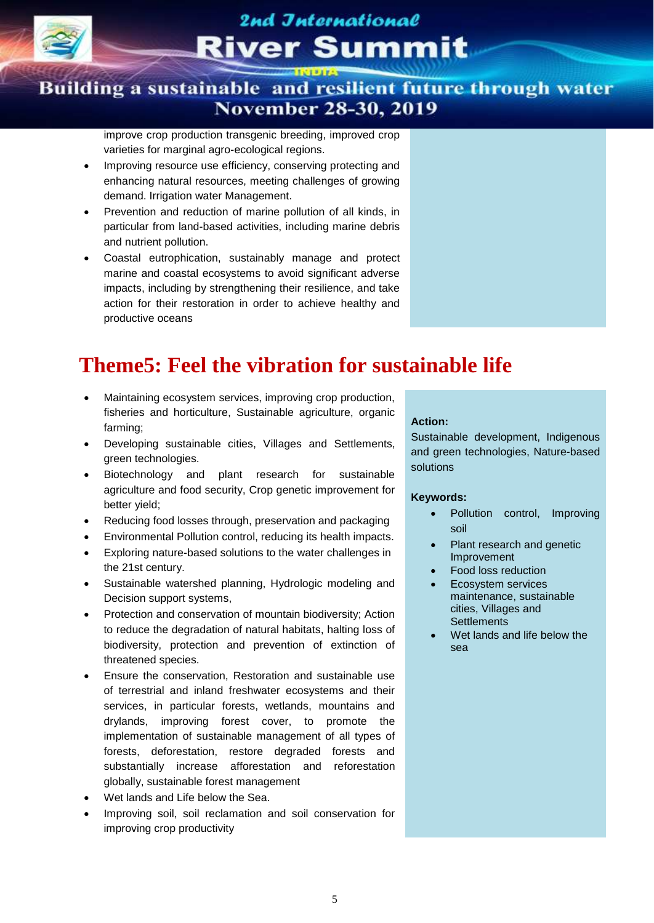

### Building a sustainable and resilient future through water **November 28-30, 2019**

improve crop production transgenic breeding, improved crop varieties for marginal agro-ecological regions.

- Improving resource use efficiency, conserving protecting and enhancing natural resources, meeting challenges of growing demand. Irrigation water Management.
- Prevention and reduction of marine pollution of all kinds, in particular from land-based activities, including marine debris and nutrient pollution.
- Coastal eutrophication, sustainably manage and protect marine and coastal ecosystems to avoid significant adverse impacts, including by strengthening their resilience, and take action for their restoration in order to achieve healthy and productive oceans

## **Theme5: Feel the vibration for sustainable life**

- Maintaining ecosystem services, improving crop production, fisheries and horticulture, Sustainable agriculture, organic farming;
- Developing sustainable cities, Villages and Settlements, green technologies.
- Biotechnology and plant research for sustainable agriculture and food security, Crop genetic improvement for better yield;
- Reducing food losses through, preservation and packaging
- Environmental Pollution control, reducing its health impacts.
- Exploring nature-based solutions to the water challenges in the 21st century.
- Sustainable watershed planning, Hydrologic modeling and Decision support systems,
- Protection and conservation of mountain biodiversity; Action to reduce the degradation of natural habitats, halting loss of biodiversity, protection and prevention of extinction of threatened species.
- Ensure the conservation, Restoration and sustainable use of terrestrial and inland freshwater ecosystems and their services, in particular forests, wetlands, mountains and drylands, improving forest cover, to promote the implementation of sustainable management of all types of forests, deforestation, restore degraded forests and substantially increase afforestation and reforestation globally, sustainable forest management
- Wet lands and Life below the Sea.
- Improving soil, soil reclamation and soil conservation for improving crop productivity

#### **Action:**

Sustainable development, Indigenous and green technologies, Nature-based solutions

- Pollution control, Improving soil
- Plant research and genetic Improvement
- Food loss reduction
- Ecosystem services maintenance, sustainable cities, Villages and **Settlements**
- Wet lands and life below the sea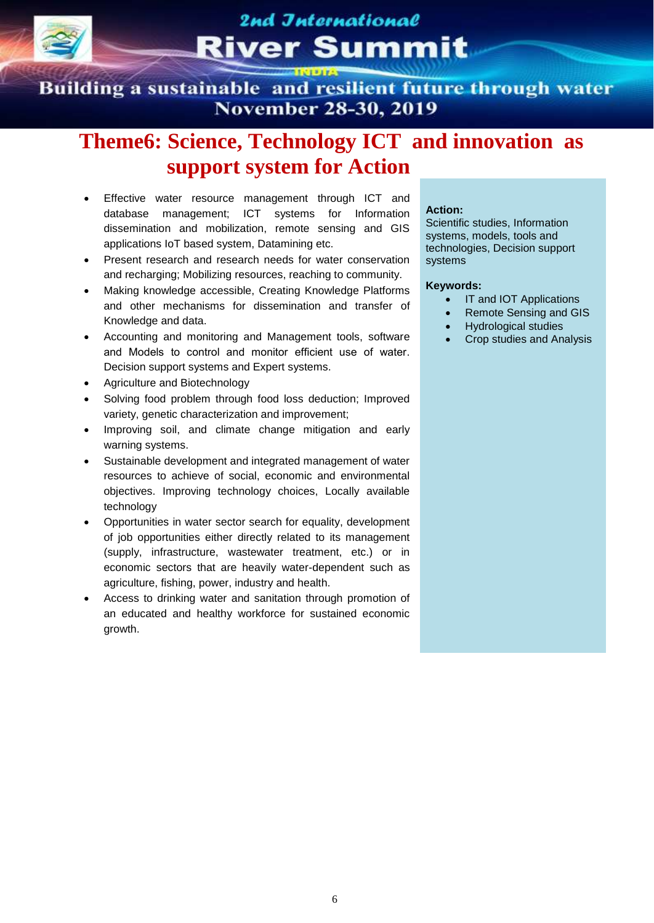

Building a sustainable and resilient future through water **November 28-30, 2019** 

### **Theme6: Science, Technology ICT and innovation as support system for Action**

- Effective water resource management through ICT and database management; ICT systems for Information dissemination and mobilization, remote sensing and GIS applications IoT based system, Datamining etc.
- Present research and research needs for water conservation and recharging; Mobilizing resources, reaching to community.
- Making knowledge accessible, Creating Knowledge Platforms and other mechanisms for dissemination and transfer of Knowledge and data.
- Accounting and monitoring and Management tools, software and Models to control and monitor efficient use of water. Decision support systems and Expert systems.
- Agriculture and Biotechnology
- Solving food problem through food loss deduction; Improved variety, genetic characterization and improvement;
- Improving soil, and climate change mitigation and early warning systems.
- Sustainable development and integrated management of water resources to achieve of social, economic and environmental objectives. Improving technology choices, Locally available technology
- Opportunities in water sector search for equality, development of job opportunities either directly related to its management (supply, infrastructure, wastewater treatment, etc.) or in economic sectors that are heavily water-dependent such as agriculture, fishing, power, industry and health.
- Access to drinking water and sanitation through promotion of an educated and healthy workforce for sustained economic growth.

#### **Action:**

Scientific studies, Information systems, models, tools and technologies, Decision support systems

- IT and IOT Applications
- Remote Sensing and GIS
- Hydrological studies
- Crop studies and Analysis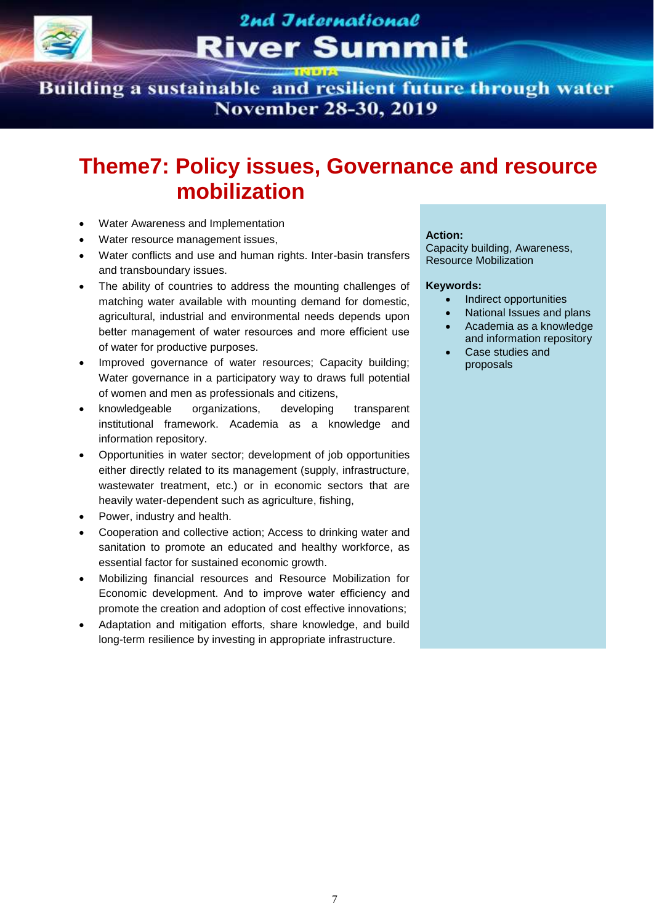

Building a sustainable and resilient future through water **November 28-30, 2019** 

## **Theme7: Policy issues, Governance and resource mobilization**

- Water Awareness and Implementation
- Water resource management issues,
- Water conflicts and use and human rights. Inter-basin transfers and transboundary issues.
- The ability of countries to address the mounting challenges of matching water available with mounting demand for domestic, agricultural, industrial and environmental needs depends upon better management of water resources and more efficient use of water for productive purposes.
- Improved governance of water resources; Capacity building; Water governance in a participatory way to draws full potential of women and men as professionals and citizens,
- knowledgeable organizations, developing transparent institutional framework. Academia as a knowledge and information repository.
- Opportunities in water sector; development of job opportunities either directly related to its management (supply, infrastructure, wastewater treatment, etc.) or in economic sectors that are heavily water-dependent such as agriculture, fishing,
- Power, industry and health.
- Cooperation and collective action; Access to drinking water and sanitation to promote an educated and healthy workforce, as essential factor for sustained economic growth.
- Mobilizing financial resources and Resource Mobilization for Economic development. And to improve water efficiency and promote the creation and adoption of cost effective innovations;
- Adaptation and mitigation efforts, share knowledge, and build long-term resilience by investing in appropriate infrastructure.

#### **Action:**

Capacity building, Awareness, Resource Mobilization

- Indirect opportunities
- National Issues and plans
- Academia as a knowledge and information repository
- Case studies and proposals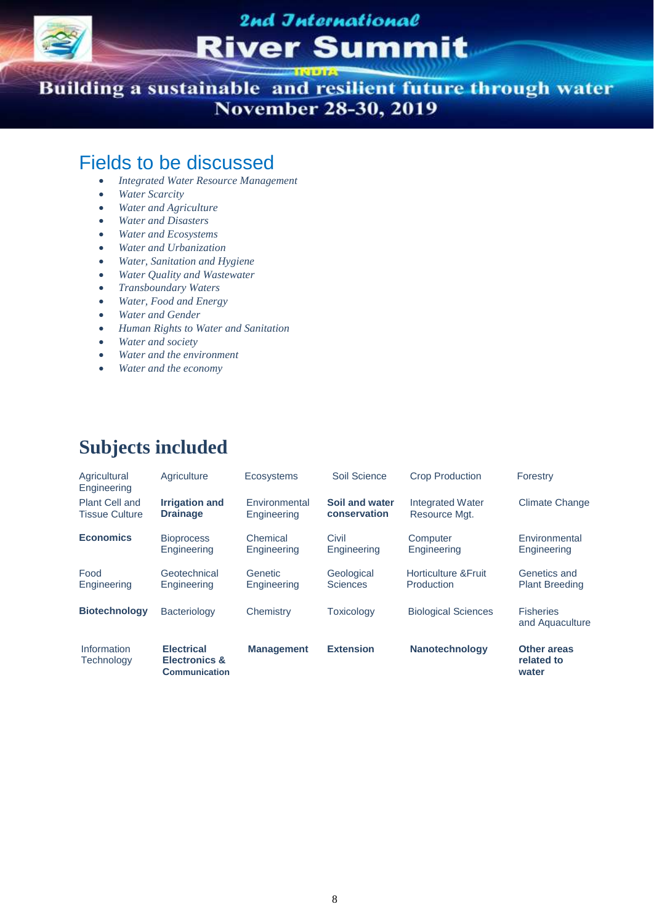

Building a sustainable and resilient future through water **November 28-30, 2019** 

### Fields to be discussed

- *Integrated Water Resource Management*
- *Water Scarcity*
- *Water and Agriculture*
- *Water and Disasters*
- *Water and Ecosystems*
- *Water and Urbanization*
- *Water, Sanitation and Hygiene*
- *Water Quality and Wastewater*
- *Transboundary Waters*
- *Water, Food and Energy*
- *Water and Gender*
- *Human Rights to Water and Sanitation*
- *Water and society*
- *Water and the environment*
- *Water and the economy*

### **Subjects included**

| Agricultural<br>Engineering                    | Agriculture                                                           | Ecosystems                   | Soil Science                   | <b>Crop Production</b>                        | Forestry                                  |
|------------------------------------------------|-----------------------------------------------------------------------|------------------------------|--------------------------------|-----------------------------------------------|-------------------------------------------|
| <b>Plant Cell and</b><br><b>Tissue Culture</b> | <b>Irrigation and</b><br><b>Drainage</b>                              | Environmental<br>Engineering | Soil and water<br>conservation | Integrated Water<br>Resource Mgt.             | <b>Climate Change</b>                     |
| <b>Economics</b>                               | <b>Bioprocess</b><br>Engineering                                      | Chemical<br>Engineering      | Civil<br>Engineering           | Computer<br>Engineering                       | Environmental<br>Engineering              |
| Food<br>Engineering                            | Geotechnical<br>Engineering                                           | Genetic<br>Engineering       | Geological<br><b>Sciences</b>  | <b>Horticulture &amp; Fruit</b><br>Production | Genetics and<br><b>Plant Breeding</b>     |
| <b>Biotechnology</b>                           | Bacteriology                                                          | Chemistry                    | <b>Toxicology</b>              | <b>Biological Sciences</b>                    | <b>Fisheries</b><br>and Aquaculture       |
| Information<br>Technology                      | <b>Electrical</b><br><b>Electronics &amp;</b><br><b>Communication</b> | <b>Management</b>            | <b>Extension</b>               | <b>Nanotechnology</b>                         | <b>Other areas</b><br>related to<br>water |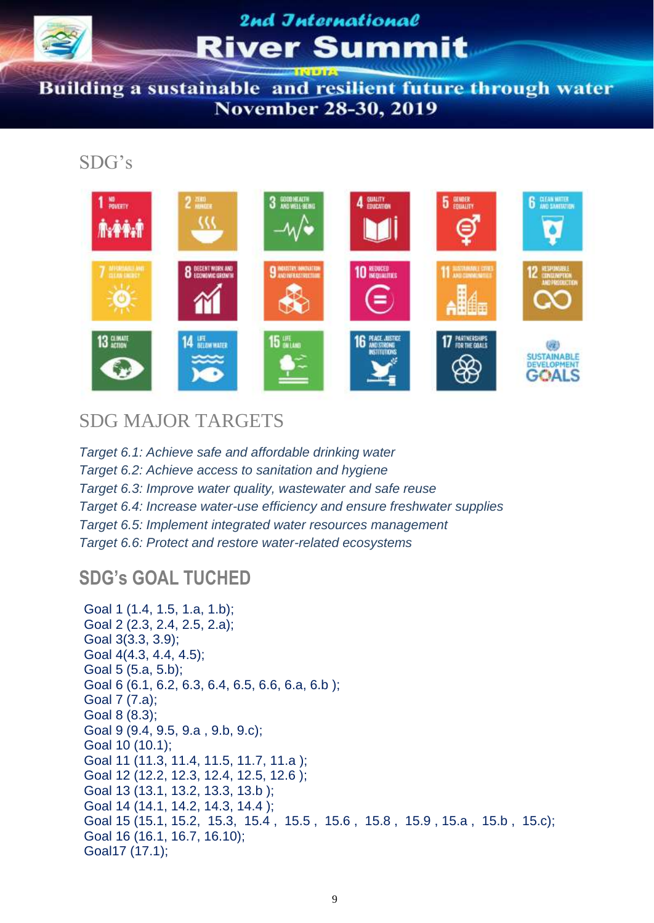

Building a sustainable and resilient future through water **November 28-30, 2019** 

### SDG's



### SDG MAJOR TARGETS

*Target 6.1: Achieve safe and affordable drinking water Target 6.2: Achieve access to sanitation and hygiene Target 6.3: Improve water quality, wastewater and safe reuse Target 6.4: Increase water-use efficiency and ensure freshwater supplies Target 6.5: Implement integrated water resources management Target 6.6: Protect and restore water-related ecosystems* 

### **SDG's GOAL TUCHED**

```
Goal 1 (1.4, 1.5, 1.a, 1.b); 
Goal 2 (2.3, 2.4, 2.5, 2.a); 
Goal 3(3.3, 3.9); 
Goal 4(4.3, 4.4, 4.5);
Goal 5 (5.a, 5.b); 
Goal 6 (6.1, 6.2, 6.3, 6.4, 6.5, 6.6, 6.a, 6.b );
Goal 7 (7.a); 
Goal 8 (8.3);
Goal 9 (9.4, 9.5, 9.a , 9.b, 9.c);
Goal 10 (10.1);
Goal 11 (11.3, 11.4, 11.5, 11.7, 11.a ); 
Goal 12 (12.2, 12.3, 12.4, 12.5, 12.6 );
Goal 13 (13.1, 13.2, 13.3, 13.b );
Goal 14 (14.1, 14.2, 14.3, 14.4 );
Goal 15 (15.1, 15.2, 15.3, 15.4 , 15.5 , 15.6 , 15.8 , 15.9 , 15.a , 15.b , 15.c); 
Goal 16 (16.1, 16.7, 16.10); 
Goal17 (17.1);
```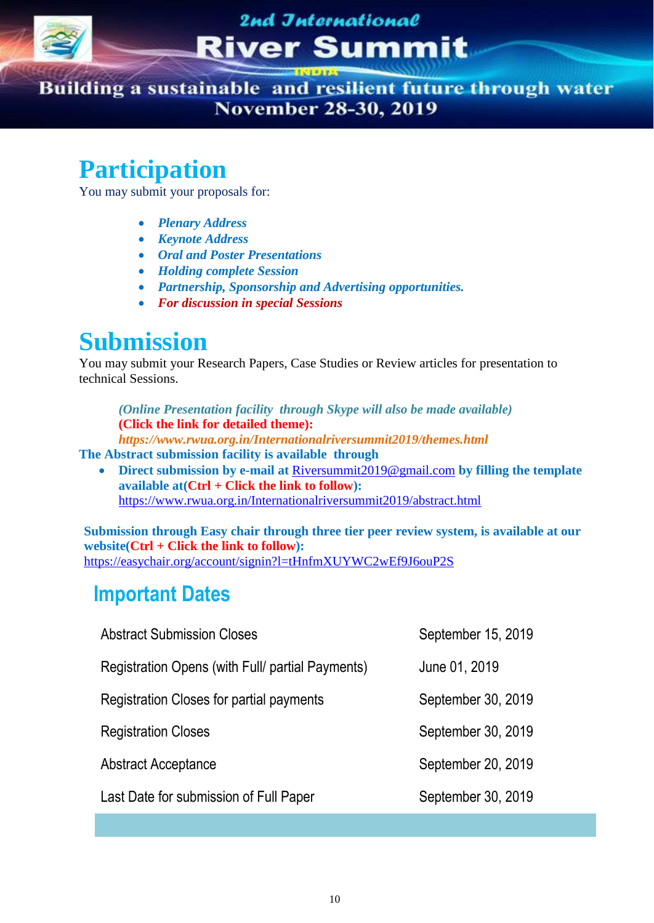

Building a sustainable and resilient future through water **November 28-30, 2019** 

## **Participation**

You may submit your proposals for:

- *Plenary Address*
- *Keynote Address*
- *Oral and Poster Presentations*
- *Holding complete Session*
- *Partnership, Sponsorship and Advertising opportunities.*
- *For discussion in special Sessions*

## **Submission**

You may submit your Research Papers, Case Studies or Review articles for presentation to technical Sessions.

*(Online Presentation facility through Skype will also be made available)* **(Click the link for detailed theme):**

*https://www.rwua.org.in/Internationalriversummit2019/themes.html*

- **The Abstract submission facility is available through**
	- **Direct submission by e-mail at** [Riversummit2019@gmail.com](mailto:Riversummit2019@gmail.com) **by filling the template available at(Ctrl + Click the link to follow):** <https://www.rwua.org.in/Internationalriversummit2019/abstract.html>

**Submission through Easy chair through three tier peer review system, is available at our website(Ctrl + Click the link to follow):** <https://easychair.org/account/signin?l=tHnfmXUYWC2wEf9J6ouP2S>

### **Important Dates**

| <b>Abstract Submission Closes</b>                | September 15, 2019 |
|--------------------------------------------------|--------------------|
| Registration Opens (with Full/ partial Payments) | June 01, 2019      |
| Registration Closes for partial payments         | September 30, 2019 |
| <b>Registration Closes</b>                       | September 30, 2019 |
| <b>Abstract Acceptance</b>                       | September 20, 2019 |
| Last Date for submission of Full Paper           | September 30, 2019 |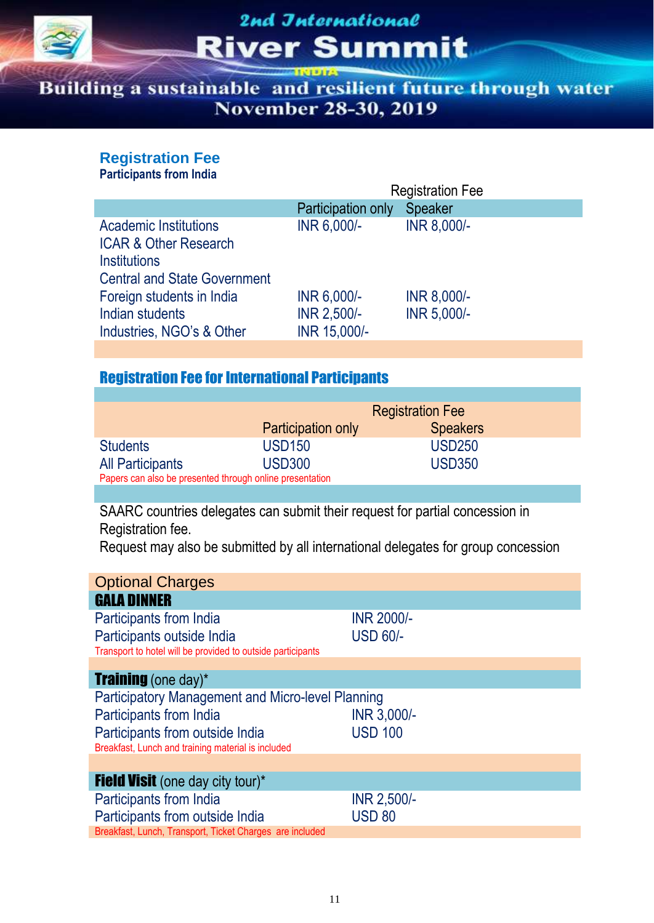

Building a sustainable and resilient future through water **November 28-30, 2019** 

#### **Registration Fee**

**Participants from India**

|                                                                                                                                | <b>Registration Fee</b> |             |  |
|--------------------------------------------------------------------------------------------------------------------------------|-------------------------|-------------|--|
|                                                                                                                                | Participation only      | Speaker     |  |
| <b>Academic Institutions</b><br><b>ICAR &amp; Other Research</b><br><b>Institutions</b><br><b>Central and State Government</b> | INR 6,000/-             | INR 8,000/- |  |
| Foreign students in India                                                                                                      | INR 6,000/-             | INR 8,000/- |  |
| Indian students                                                                                                                | INR 2,500/-             | INR 5,000/- |  |
| Industries, NGO's & Other                                                                                                      | INR 15,000/-            |             |  |

### Registration Fee for International Participants

|                                                          | <b>Registration Fee</b>   |                 |  |  |  |
|----------------------------------------------------------|---------------------------|-----------------|--|--|--|
|                                                          | <b>Participation only</b> | <b>Speakers</b> |  |  |  |
| <b>Students</b>                                          | <b>USD150</b>             | <b>USD250</b>   |  |  |  |
| <b>All Participants</b>                                  | <b>USD300</b>             | <b>USD350</b>   |  |  |  |
| Papers can also be presented through online presentation |                           |                 |  |  |  |

SAARC countries delegates can submit their request for partial concession in Registration fee.

Request may also be submitted by all international delegates for group concession

| <b>Optional Charges</b>                                     |                   |  |  |  |  |
|-------------------------------------------------------------|-------------------|--|--|--|--|
| <b>GALA DINNER</b>                                          |                   |  |  |  |  |
| Participants from India                                     | <b>INR 2000/-</b> |  |  |  |  |
| Participants outside India                                  | <b>USD 60/-</b>   |  |  |  |  |
| Transport to hotel will be provided to outside participants |                   |  |  |  |  |
|                                                             |                   |  |  |  |  |
| <b>Training</b> (one day)*                                  |                   |  |  |  |  |
| <b>Participatory Management and Micro-level Planning</b>    |                   |  |  |  |  |
| Participants from India                                     | INR 3,000/-       |  |  |  |  |
| Participants from outside India                             | <b>USD 100</b>    |  |  |  |  |
| Breakfast, Lunch and training material is included          |                   |  |  |  |  |
|                                                             |                   |  |  |  |  |
| <b>Field Visit</b> (one day city tour)*                     |                   |  |  |  |  |
| Participants from India                                     | INR 2,500/-       |  |  |  |  |
| Participants from outside India                             | <b>USD 80</b>     |  |  |  |  |
| Breakfast, Lunch, Transport, Ticket Charges are included    |                   |  |  |  |  |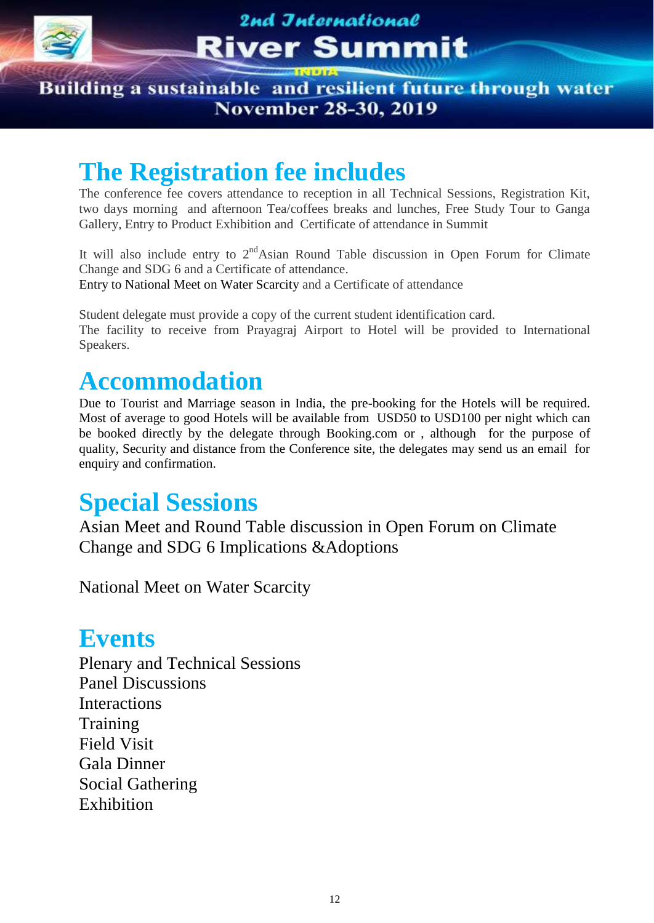

Building a sustainable and resilient future through water **November 28-30, 2019** 

# **The Registration fee includes**

The conference fee covers attendance to reception in all Technical Sessions, Registration Kit, two days morning and afternoon Tea/coffees breaks and lunches, Free Study Tour to Ganga Gallery, Entry to Product Exhibition and Certificate of attendance in Summit

It will also include entry to  $2<sup>nd</sup>$ Asian Round Table discussion in Open Forum for Climate Change and SDG 6 and a Certificate of attendance.

Entry to National Meet on Water Scarcity and a Certificate of attendance

Student delegate must provide a copy of the current student identification card. The facility to receive from Prayagraj Airport to Hotel will be provided to International Speakers.

# **Accommodation**

Due to Tourist and Marriage season in India, the pre-booking for the Hotels will be required. Most of average to good Hotels will be available from USD50 to USD100 per night which can be booked directly by the delegate through Booking.com or , although for the purpose of quality, Security and distance from the Conference site, the delegates may send us an email for enquiry and confirmation.

# **Special Sessions**

Asian Meet and Round Table discussion in Open Forum on Climate Change and SDG 6 Implications &Adoptions

National Meet on Water Scarcity

## **Events**

Plenary and Technical Sessions Panel Discussions Interactions **Training** Field Visit Gala Dinner Social Gathering Exhibition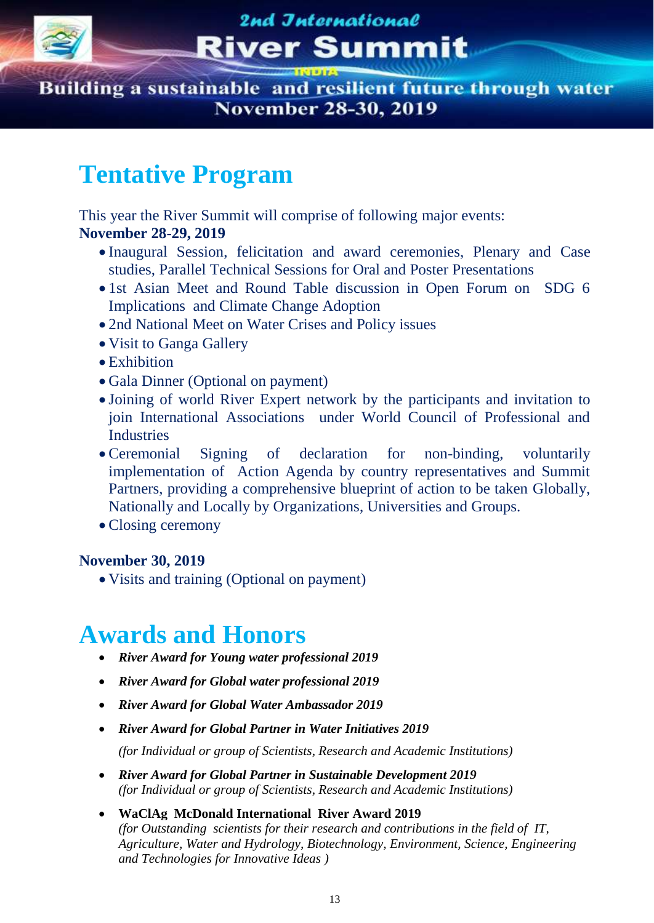

Building a sustainable and resilient future through water **November 28-30, 2019** 

# **Tentative Program**

This year the River Summit will comprise of following major events:

### **November 28-29, 2019**

- Inaugural Session, felicitation and award ceremonies, Plenary and Case studies, Parallel Technical Sessions for Oral and Poster Presentations
- 1st Asian Meet and Round Table discussion in Open Forum on SDG 6 Implications and Climate Change Adoption
- 2nd National Meet on Water Crises and Policy issues
- Visit to Ganga Gallery
- Exhibition
- Gala Dinner (Optional on payment)
- Joining of world River Expert network by the participants and invitation to join International Associations under World Council of Professional and **Industries**
- Ceremonial Signing of declaration for non-binding, voluntarily implementation of Action Agenda by country representatives and Summit Partners, providing a comprehensive blueprint of action to be taken Globally, Nationally and Locally by Organizations, Universities and Groups.
- Closing ceremony

#### **November 30, 2019**

Visits and training (Optional on payment)

# **Awards and Honors**

- *River Award for Young water professional 2019*
- *River Award for Global water professional 2019*
- *River Award for Global Water Ambassador 2019*
- *River Award for Global Partner in Water Initiatives 2019*

*(for Individual or group of Scientists, Research and Academic Institutions)*

- *River Award for Global Partner in Sustainable Development 2019 (for Individual or group of Scientists, Research and Academic Institutions)*
- **WaClAg McDonald International River Award 2019**  *(for Outstanding scientists for their research and contributions in the field of IT, Agriculture, Water and Hydrology, Biotechnology, Environment, Science, Engineering and Technologies for Innovative Ideas )*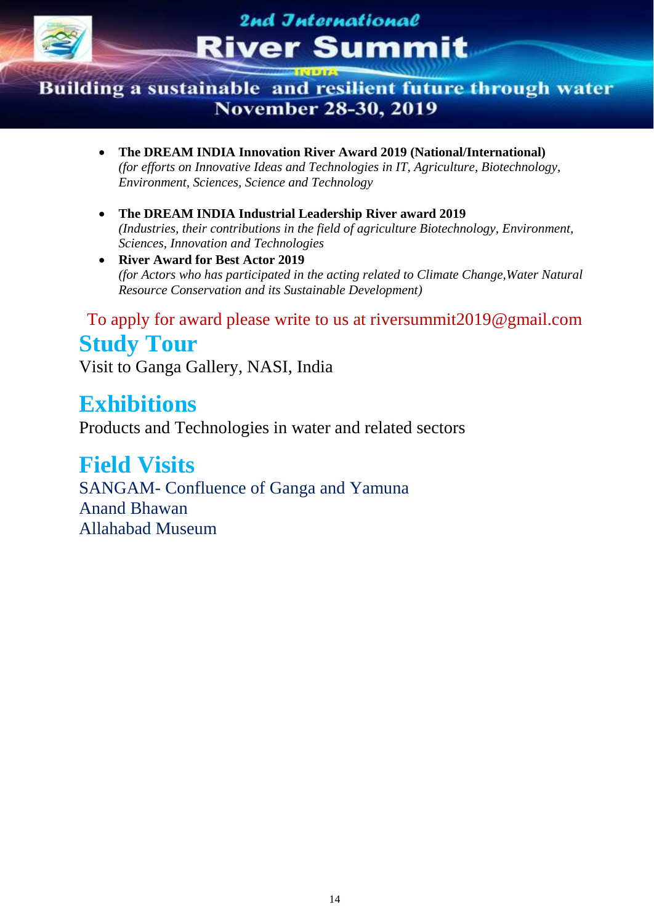

### Building a sustainable and resilient future through water **November 28-30, 2019**

- **The DREAM INDIA Innovation River Award 2019 (National/International)** *(for efforts on Innovative Ideas and Technologies in IT, Agriculture, Biotechnology, Environment, Sciences, Science and Technology*
- **The DREAM INDIA Industrial Leadership River award 2019** *(Industries, their contributions in the field of agriculture Biotechnology, Environment, Sciences, Innovation and Technologies*
- **River Award for Best Actor 2019** *(for Actors who has participated in the acting related to Climate Change,Water Natural Resource Conservation and its Sustainable Development)*

To apply for award please write to us at riversummit2019@gmail.com **Study Tour**

Visit to Ganga Gallery, NASI, India

## **Exhibitions**

Products and Technologies in water and related sectors

## **Field Visits**

SANGAM- Confluence of Ganga and Yamuna Anand Bhawan Allahabad Museum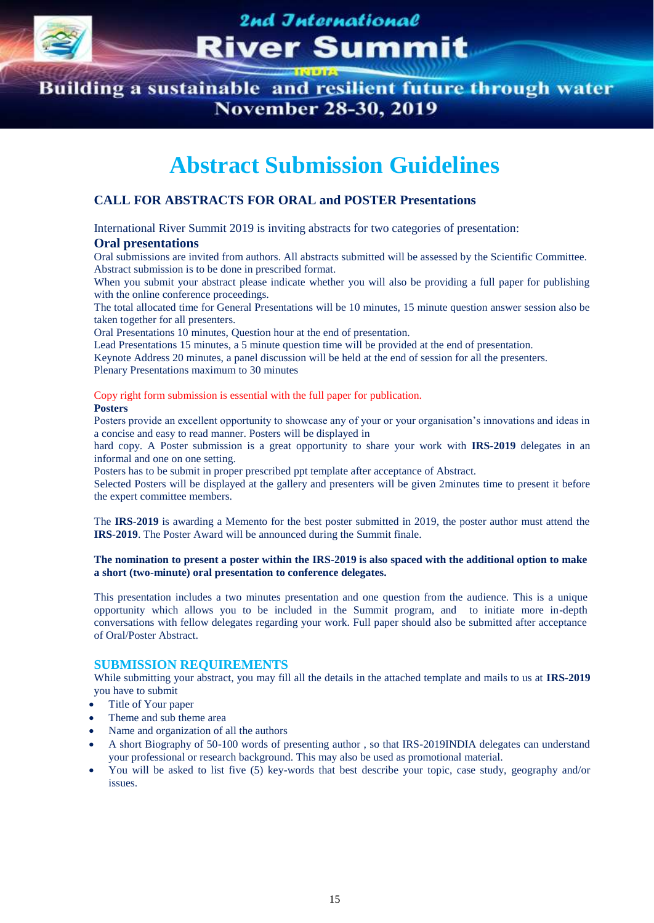

Building a sustainable and resilient future through water **November 28-30, 2019** 

## **Abstract Submission Guidelines**

#### **CALL FOR ABSTRACTS FOR ORAL and POSTER Presentations**

International River Summit 2019 is inviting abstracts for two categories of presentation:

#### **Oral presentations**

Oral submissions are invited from authors. All abstracts submitted will be assessed by the Scientific Committee. Abstract submission is to be done in prescribed format.

When you submit your abstract please indicate whether you will also be providing a full paper for publishing with the online conference proceedings.

The total allocated time for General Presentations will be 10 minutes, 15 minute question answer session also be taken together for all presenters.

Oral Presentations 10 minutes, Question hour at the end of presentation.

Lead Presentations 15 minutes, a 5 minute question time will be provided at the end of presentation.

Keynote Address 20 minutes, a panel discussion will be held at the end of session for all the presenters.

Plenary Presentations maximum to 30 minutes

Copy right form submission is essential with the full paper for publication.

#### **Posters**

Posters provide an excellent opportunity to showcase any of your or your organisation's innovations and ideas in a concise and easy to read manner. Posters will be displayed in

hard copy. A Poster submission is a great opportunity to share your work with **IRS-2019** delegates in an informal and one on one setting.

Posters has to be submit in proper prescribed ppt template after acceptance of Abstract.

Selected Posters will be displayed at the gallery and presenters will be given 2minutes time to present it before the expert committee members.

The **IRS-2019** is awarding a Memento for the best poster submitted in 2019, the poster author must attend the **IRS-2019**. The Poster Award will be announced during the Summit finale.

#### **The nomination to present a poster within the IRS-2019 is also spaced with the additional option to make a short (two-minute) oral presentation to conference delegates.**

This presentation includes a two minutes presentation and one question from the audience. This is a unique opportunity which allows you to be included in the Summit program, and to initiate more in-depth conversations with fellow delegates regarding your work. Full paper should also be submitted after acceptance of Oral/Poster Abstract.

#### **SUBMISSION REQUIREMENTS**

While submitting your abstract, you may fill all the details in the attached template and mails to us at **IRS-2019** you have to submit

- Title of Your paper
- Theme and sub theme area
- Name and organization of all the authors
- A short Biography of 50-100 words of presenting author , so that IRS-2019INDIA delegates can understand your professional or research background. This may also be used as promotional material.
- You will be asked to list five (5) key-words that best describe your topic, case study, geography and/or issues.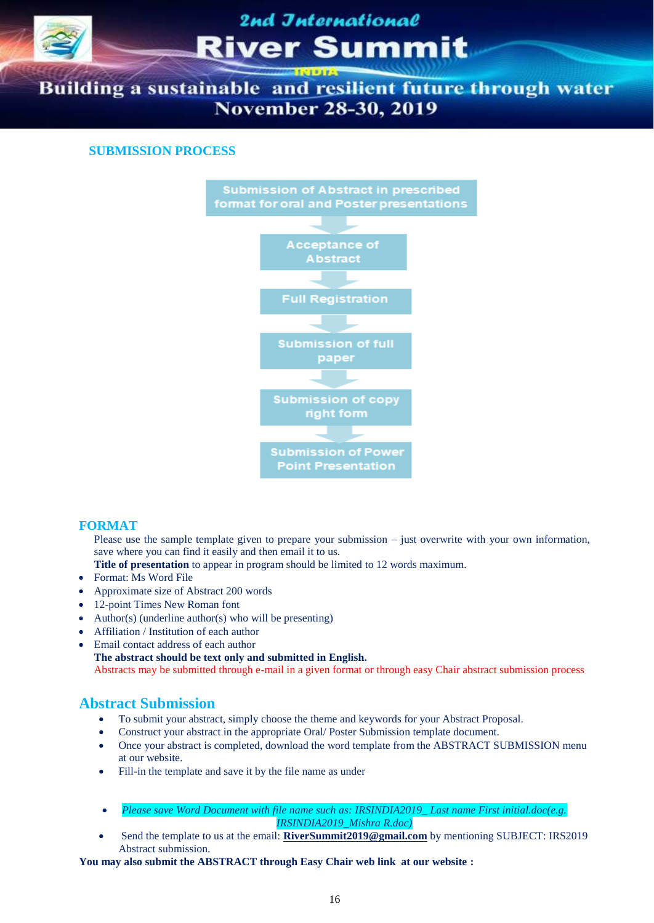

Building a sustainable and resilient future through water **November 28-30, 2019** 

#### **SUBMISSION PROCESS**



#### **FORMAT**

Please use the sample template given to prepare your submission – just overwrite with your own information, save where you can find it easily and then email it to us.

**Title of presentation** to appear in program should be limited to 12 words maximum.

- Format: Ms Word File
- Approximate size of Abstract 200 words
- 12-point Times New Roman font
- Author(s) (underline author(s) who will be presenting)
- Affiliation / Institution of each author
- Email contact address of each author

**The abstract should be text only and submitted in English.** Abstracts may be submitted through e-mail in a given format or through easy Chair abstract submission process

#### **Abstract Submission**

- To submit your abstract, simply choose the theme and keywords for your Abstract Proposal.
- Construct your abstract in the appropriate Oral/ Poster Submission template document.
- Once your abstract is completed, download the word template from the ABSTRACT SUBMISSION menu at our website.
- Fill-in the template and save it by the file name as under
- *Please save Word Document with file name such as: IRSINDIA2019\_ Last name First initial.doc(e.g. IRSINDIA2019\_Mishra R.doc)*
- Send the template to us at the email: **[RiverSummit2019@gmail.com](mailto:RiverSummit2019@gmail.com)** by mentioning SUBJECT: IRS2019 Abstract submission.

**You may also submit the ABSTRACT through Easy Chair web link at our website :**